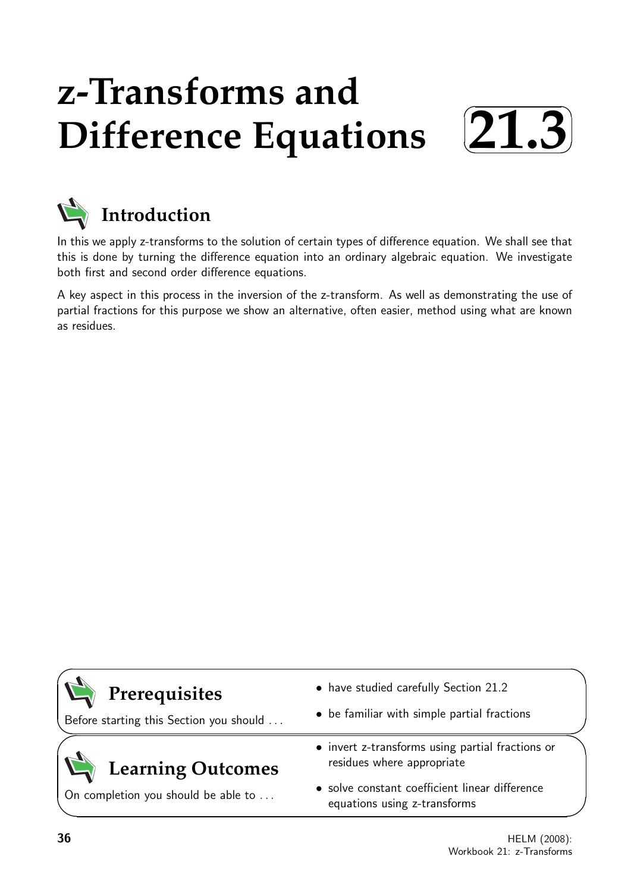# **z-Transforms and Difference Equations**





In this we apply z-transforms to the solution of certain types of difference equation. We shall see that this is done by turning the difference equation into an ordinary algebraic equation. We investigate both first and second order difference equations.

A key aspect in this process in the inversion of the z-transform. As well as demonstrating the use of partial fractions for this purpose we show an alternative, often easier, method using what are known as residues.

# **Prerequisites**

Before starting this Section you should . . .

# **Learning Outcomes**

On completion you should be able to ...

- have studied carefully Section 21.2
- be familiar with simple partial fractions
- invert z-transforms using partial fractions or residues where appropriate
- solve constant coefficient linear difference equations using z-transforms

 $\overline{\phantom{0}}$ 

 $\searrow$ 

 $\geq$ 

✧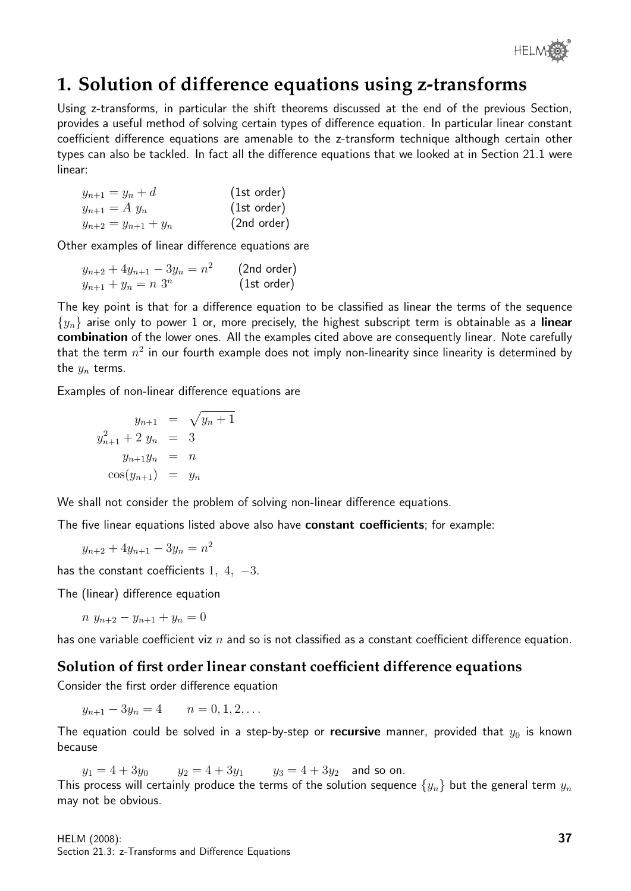

# **1. Solution of difference equations using z-transforms**

Using z-transforms, in particular the shift theorems discussed at the end of the previous Section, provides a useful method of solving certain types of difference equation. In particular linear constant coefficient difference equations are amenable to the z-transform technique although certain other types can also be tackled. In fact all the difference equations that we looked at in Section 21.1 were linear:

$$
y_{n+1} = y_n + d
$$
 (1st order)  
\n
$$
y_{n+1} = A y_n
$$
 (1st order)  
\n
$$
y_{n+2} = y_{n+1} + y_n
$$
 (2nd order)

Other examples of linear difference equations are

| $y_{n+2} + 4y_{n+1} - 3y_n = n^2$ | (2nd order) |
|-----------------------------------|-------------|
| $y_{n+1} + y_n = n \; 3^n$        | (1st order) |

The key point is that for a difference equation to be classified as linear the terms of the sequence  $\{y_n\}$  arise only to power 1 or, more precisely, the highest subscript term is obtainable as a linear combination of the lower ones. All the examples cited above are consequently linear. Note carefully that the term  $n^2$  in our fourth example does not imply non-linearity since linearity is determined by the  $y_n$  terms.

Examples of non-linear difference equations are

$$
y_{n+1} = \sqrt{y_n + 1}
$$
  

$$
y_{n+1}^2 + 2 y_n = 3
$$
  

$$
y_{n+1}y_n = n
$$
  

$$
\cos(y_{n+1}) = y_n
$$

We shall not consider the problem of solving non-linear difference equations.

The five linear equations listed above also have constant coefficients; for example:

$$
y_{n+2} + 4y_{n+1} - 3y_n = n^2
$$

has the constant coefficients 1, 4,  $-3$ .

The (linear) difference equation

 $n y_{n+2} - y_{n+1} + y_n = 0$ 

has one variable coefficient viz  $n$  and so is not classified as a constant coefficient difference equation.

#### **Solution of first order linear constant coefficient difference equations**

Consider the first order difference equation

 $y_{n+1} - 3y_n = 4$   $n = 0, 1, 2, ...$ 

The equation could be solved in a step-by-step or recursive manner, provided that  $y_0$  is known because

 $y_1 = 4 + 3y_0$   $y_2 = 4 + 3y_1$   $y_3 = 4 + 3y_2$  and so on.

This process will certainly produce the terms of the solution sequence  $\{y_n\}$  but the general term  $y_n$ may not be obvious.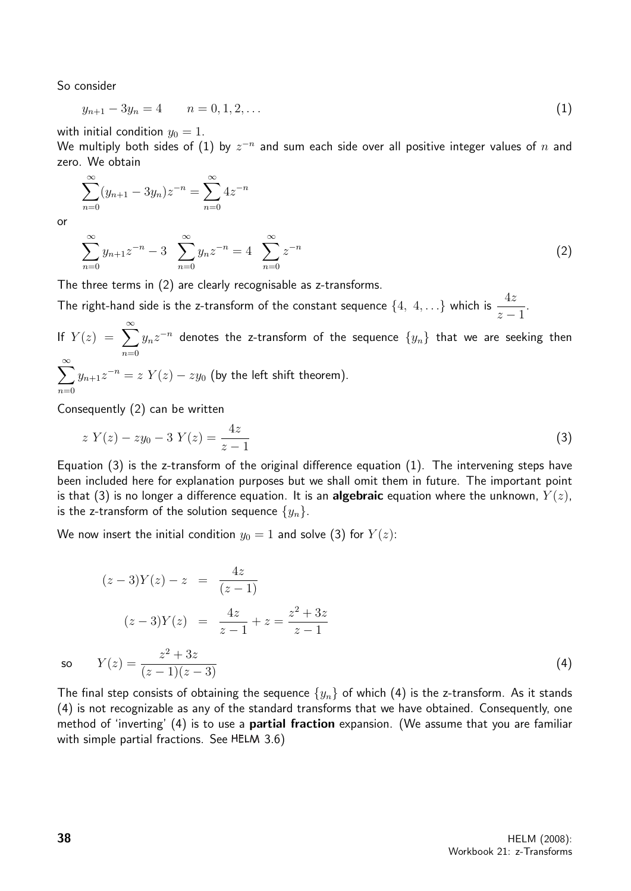So consider

$$
y_{n+1} - 3y_n = 4 \qquad n = 0, 1, 2, \dots \tag{1}
$$

with initial condition  $y_0 = 1$ .

We multiply both sides of  $(1)$  by  $z^{-n}$  and sum each side over all positive integer values of  $n$  and zero. We obtain

$$
\sum_{n=0}^{\infty} (y_{n+1} - 3y_n) z^{-n} = \sum_{n=0}^{\infty} 4z^{-n}
$$

or

$$
\sum_{n=0}^{\infty} y_{n+1} z^{-n} - 3 \sum_{n=0}^{\infty} y_n z^{-n} = 4 \sum_{n=0}^{\infty} z^{-n}
$$
 (2)

The three terms in (2) are clearly recognisable as z-transforms.

The right-hand side is the z-transform of the constant sequence  $\{4, 4, ...\}$  which is  $\frac{4z}{4z}$  $z - 1$ .

If  $Y(z) = \sum_{n=0}^{\infty}$  $n=0$  $y_nz^{-n}$  denotes the z-transform of the sequence  $\{y_n\}$  that we are seeking then  $\sum^{\infty}$  $n=0$  $y_{n+1}z^{-n} = z Y(z) - zy_0$  (by the left shift theorem).

Consequently (2) can be written

$$
z Y(z) - zy_0 - 3 Y(z) = \frac{4z}{z - 1}
$$
\n(3)

Equation (3) is the z-transform of the original difference equation (1). The intervening steps have been included here for explanation purposes but we shall omit them in future. The important point is that (3) is no longer a difference equation. It is an **algebraic** equation where the unknown,  $Y(z)$ , is the z-transform of the solution sequence  $\{y_n\}$ .

We now insert the initial condition  $y_0 = 1$  and solve (3) for  $Y(z)$ :

$$
(z-3)Y(z) - z = \frac{4z}{(z-1)}
$$
  
\n
$$
(z-3)Y(z) = \frac{4z}{z-1} + z = \frac{z^2 + 3z}{z-1}
$$
  
\nso 
$$
Y(z) = \frac{z^2 + 3z}{(z-1)(z-3)}
$$
\n(4)

The final step consists of obtaining the sequence  $\{y_n\}$  of which (4) is the z-transform. As it stands (4) is not recognizable as any of the standard transforms that we have obtained. Consequently, one method of 'inverting' (4) is to use a **partial fraction** expansion. (We assume that you are familiar with simple partial fractions. See HELM  $3.6$ )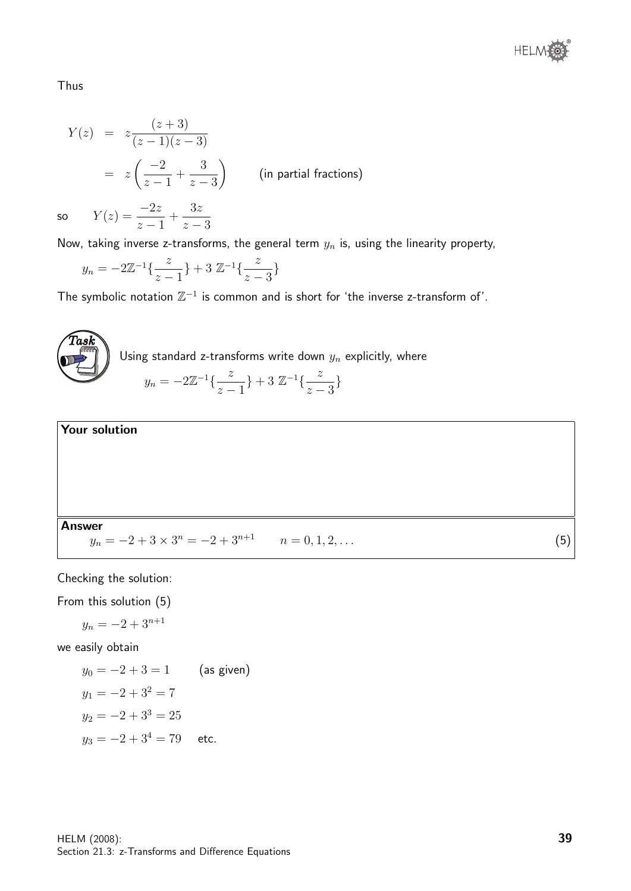

Thus

$$
Y(z) = z \frac{(z+3)}{(z-1)(z-3)}
$$
  
=  $z \left( \frac{-2}{z-1} + \frac{3}{z-3} \right)$  (in partial fractions)

so  $Y(z) = \frac{-2z}{z}$  $z - 1$  $+$  $3z$  $z - 3$ 

Now, taking inverse z-transforms, the general term  $y_n$  is, using the linearity property,

$$
y_n = -2\mathbb{Z}^{-1}\left\{\frac{z}{z-1}\right\} + 3\mathbb{Z}^{-1}\left\{\frac{z}{z-3}\right\}
$$

The symbolic notation  $\mathbb{Z}^{-1}$  is common and is short for 'the inverse z-transform of'.





Checking the solution:

From this solution (5)

$$
y_n = -2 + 3^{n+1}
$$

we easily obtain

$$
y_0 = -2 + 3 = 1
$$
 (as given)  
\n $y_1 = -2 + 3^2 = 7$   
\n $y_2 = -2 + 3^3 = 25$   
\n $y_3 = -2 + 3^4 = 79$  etc.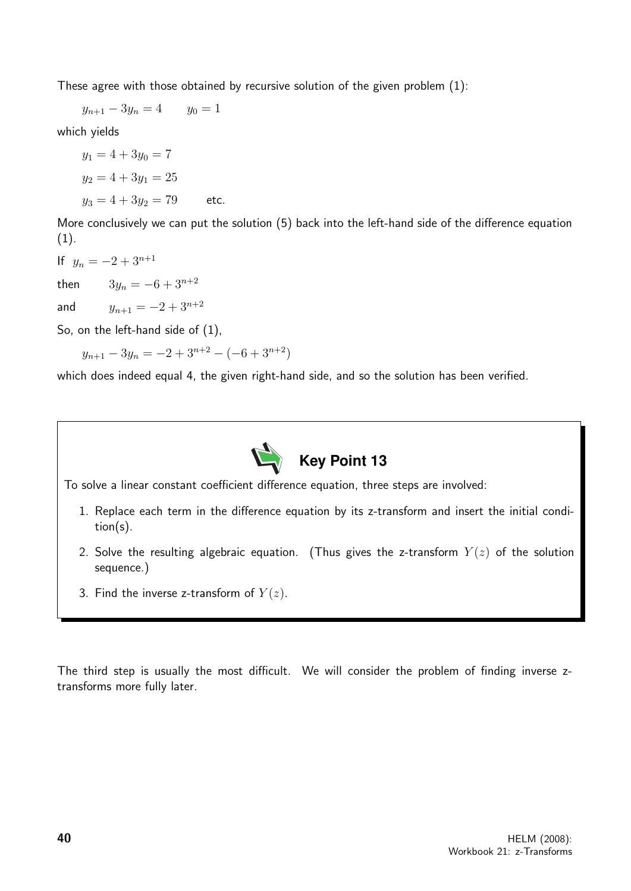These agree with those obtained by recursive solution of the given problem (1):

 $y_{n+1} - 3y_n = 4$   $y_0 = 1$ 

which yields

 $y_1 = 4 + 3y_0 = 7$  $y_2 = 4 + 3y_1 = 25$  $y_3 = 4 + 3y_2 = 79$  etc.

More conclusively we can put the solution (5) back into the left-hand side of the difference equation  $(1).$ 

If  $y_n = -2 + 3^{n+1}$ 

then  $3y_n = -6 + 3^{n+2}$ 

and  $y_{n+1} = -2 + 3^{n+2}$ 

So, on the left-hand side of (1),

 $y_{n+1} - 3y_n = -2 + 3^{n+2} - (-6 + 3^{n+2})$ 

which does indeed equal 4, the given right-hand side, and so the solution has been verified.



To solve a linear constant coefficient difference equation, three steps are involved:

- 1. Replace each term in the difference equation by its z-transform and insert the initial condition(s).
- 2. Solve the resulting algebraic equation. (Thus gives the z-transform  $Y(z)$  of the solution sequence.)
- 3. Find the inverse z-transform of  $Y(z)$ .

The third step is usually the most difficult. We will consider the problem of finding inverse ztransforms more fully later.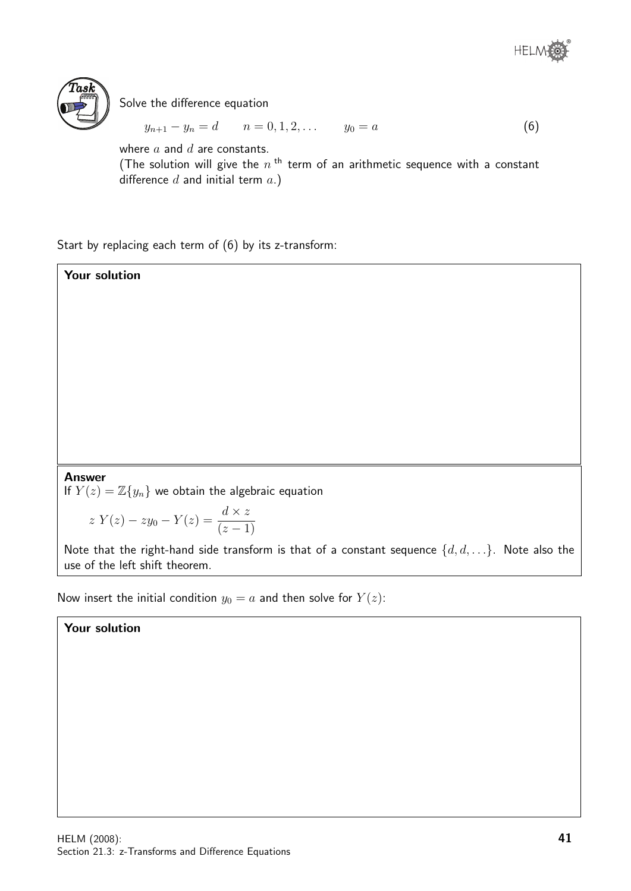



Solve the difference equation

 $y_{n+1} - y_n = d$   $n = 0, 1, 2, \ldots$   $y_0 = a$  (6)

where  $a$  and  $d$  are constants.

(The solution will give the  $n^{\text{th}}$  term of an arithmetic sequence with a constant difference  $d$  and initial term  $a.$ )

Start by replacing each term of (6) by its z-transform:

Your solution Answer If  $Y(z) = \mathbb{Z}{y_n}$  we obtain the algebraic equation  $z Y(z) - zy_0 - Y(z) = \frac{d \times z}{(z-1)}$ 

Note that the right-hand side transform is that of a constant sequence  $\{d, d, \ldots\}$ . Note also the use of the left shift theorem.

Now insert the initial condition  $y_0 = a$  and then solve for  $Y(z)$ :

#### Your solution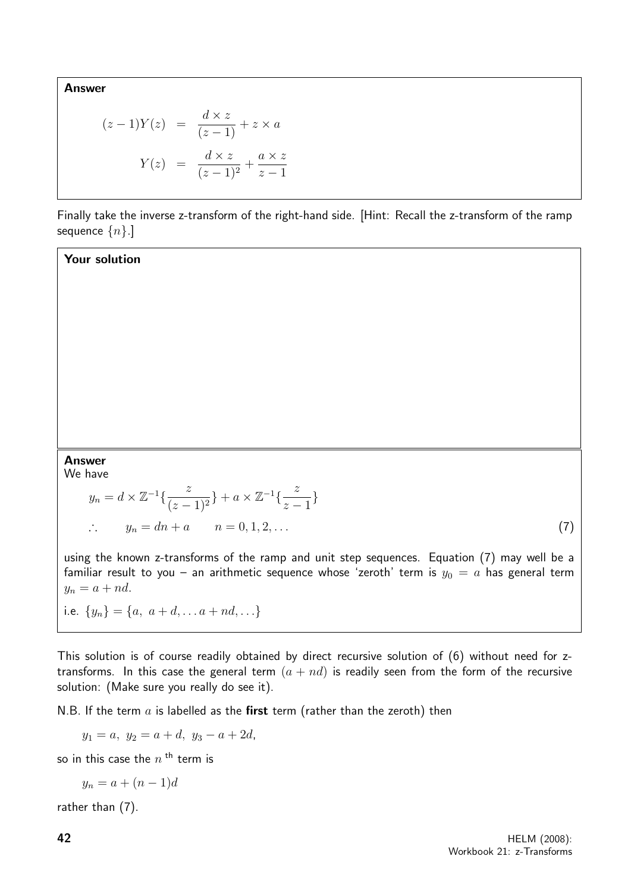Answer

$$
(z-1)Y(z) = \frac{d \times z}{(z-1)} + z \times a
$$

$$
Y(z) = \frac{d \times z}{(z-1)^2} + \frac{a \times z}{z-1}
$$

Finally take the inverse z-transform of the right-hand side. [Hint: Recall the z-transform of the ramp sequence  $\{n\}$ .]

Your solution

### Answer

We have

$$
y_n = d \times \mathbb{Z}^{-1}\left\{\frac{z}{(z-1)^2}\right\} + a \times \mathbb{Z}^{-1}\left\{\frac{z}{z-1}\right\}
$$
  
 
$$
\therefore \qquad y_n = dn + a \qquad n = 0, 1, 2, \dots \tag{7}
$$

using the known z-transforms of the ramp and unit step sequences. Equation (7) may well be a familiar result to you – an arithmetic sequence whose 'zeroth' term is  $y_0 = a$  has general term  $y_n = a + nd.$ 

i.e.  $\{y_n\} = \{a, a+d, \ldots a+nd, \ldots\}$ 

This solution is of course readily obtained by direct recursive solution of (6) without need for ztransforms. In this case the general term  $(a + nd)$  is readily seen from the form of the recursive solution: (Make sure you really do see it).

N.B. If the term  $a$  is labelled as the first term (rather than the zeroth) then

 $y_1 = a, y_2 = a + d, y_3 = a + 2d,$ 

so in this case the  $n$  <sup>th</sup> term is

$$
y_n = a + (n-1)d
$$

rather than (7).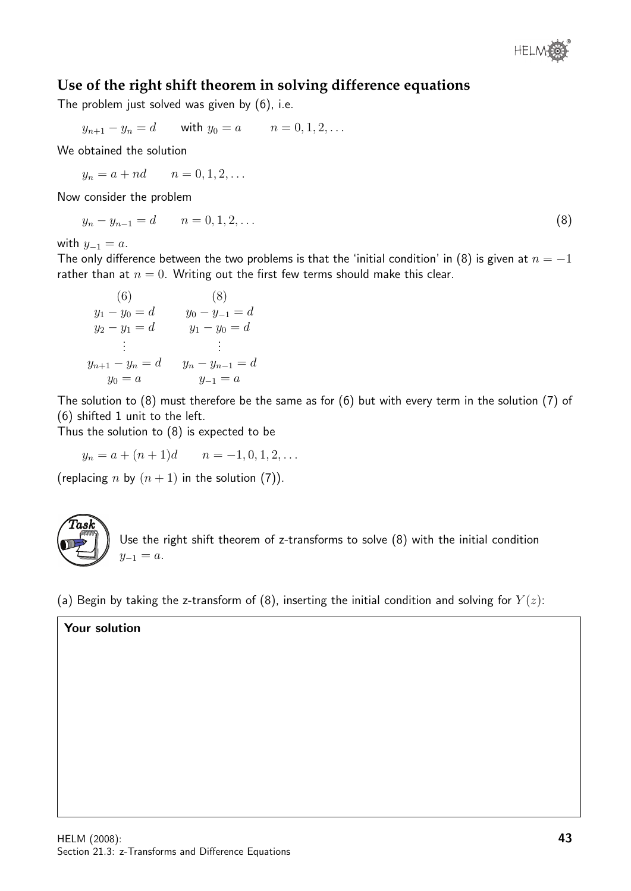

### **Use of the right shift theorem in solving difference equations**

The problem just solved was given by (6), i.e.

$$
y_{n+1} - y_n = d
$$
 with  $y_0 = a$   $n = 0, 1, 2, ...$ 

We obtained the solution

 $y_n = a + nd$   $n = 0, 1, 2, ...$ 

Now consider the problem

$$
y_n - y_{n-1} = d \qquad n = 0, 1, 2, \dots \tag{8}
$$

with  $y_{-1} = a$ .

The only difference between the two problems is that the 'initial condition' in (8) is given at  $n = -1$ rather than at  $n = 0$ . Writing out the first few terms should make this clear.

(6) (8)  
\n
$$
y_1 - y_0 = d
$$
  $y_0 - y_{-1} = d$   
\n $y_2 - y_1 = d$   $y_1 - y_0 = d$   
\n $\vdots$   $\vdots$   
\n $y_{n+1} - y_n = d$   $y_n - y_{n-1} = d$   
\n $y_0 = a$   $y_{-1} = a$ 

The solution to (8) must therefore be the same as for (6) but with every term in the solution (7) of (6) shifted 1 unit to the left.

Thus the solution to (8) is expected to be

$$
y_n = a + (n+1)d
$$
  $n = -1, 0, 1, 2, ...$ 

(replacing n by  $(n + 1)$  in the solution (7)).



Use the right shift theorem of z-transforms to solve (8) with the initial condition  $y_{-1} = a$ .

(a) Begin by taking the z-transform of (8), inserting the initial condition and solving for  $Y(z)$ :

#### Your solution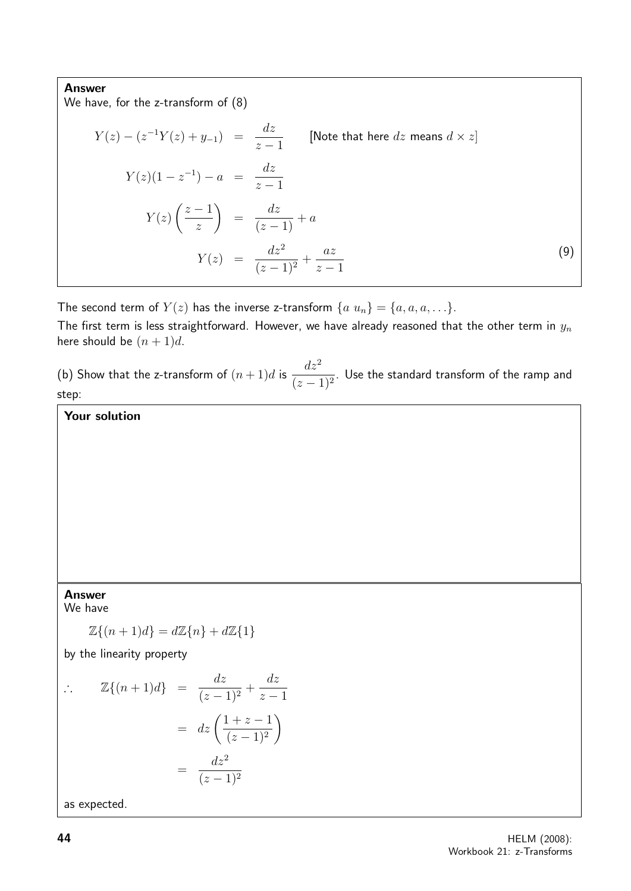#### Answer

We have, for the z-transform of (8)

$$
Y(z) - (z^{-1}Y(z) + y_{-1}) = \frac{dz}{z - 1}
$$
 [Note that here dz means  $d \times z$ ]  
\n
$$
Y(z)(1 - z^{-1}) - a = \frac{dz}{z - 1}
$$
  
\n
$$
Y(z) \left(\frac{z - 1}{z}\right) = \frac{dz}{(z - 1)} + a
$$
  
\n
$$
Y(z) = \frac{dz^2}{(z - 1)^2} + \frac{az}{z - 1}
$$
 (9)

The second term of  $Y(z)$  has the inverse z-transform  $\{a \ u_n\} = \{a, a, a, \ldots\}$ .

The first term is less straightforward. However, we have already reasoned that the other term in  $y_n$ here should be  $(n+1)d$ .

(b) Show that the z-transform of  $(n+1)d$  is  $\frac{dz^2}{dx^2}$  $\frac{d\alpha}{(z-1)^2}$ . Use the standard transform of the ramp and step:

Your solution

#### Answer

We have

$$
\mathbb{Z}\{(n+1)d\} = d\mathbb{Z}\{n\} + d\mathbb{Z}\{1\}
$$

by the linearity property

$$
\therefore \qquad \mathbb{Z}\{(n+1)d\} \quad = \quad \frac{dz}{(z-1)^2} + \frac{dz}{z-1}
$$
\n
$$
= \quad dz \left(\frac{1+z-1}{(z-1)^2}\right)
$$
\n
$$
= \quad \frac{dz^2}{(z-1)^2}
$$

as expected.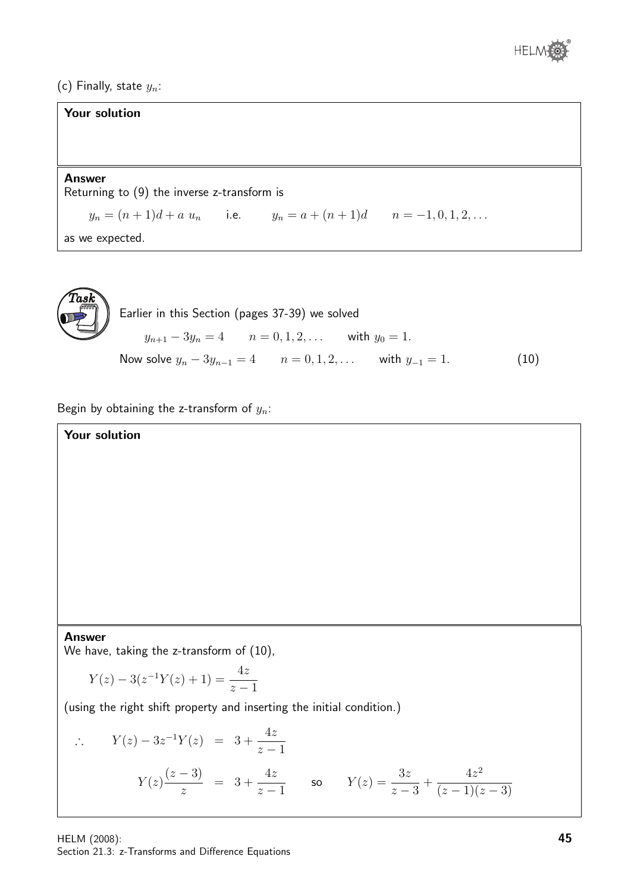

(c) Finally, state  $y_n$ :

| <b>Your solution</b>                                               |
|--------------------------------------------------------------------|
|                                                                    |
|                                                                    |
| <b>Answer</b><br>Returning to $(9)$ the inverse z-transform is     |
| $y_n = (n+1)d + a u_n$ i.e. $y_n = a + (n+1)d$ $n = -1, 0, 1, 2, $ |
| as we expected.                                                    |



Begin by obtaining the z-transform of  $y_n$ :

Your solution

#### Answer

We have, taking the z-transform of  $(10)$ ,

$$
Y(z) - 3(z^{-1}Y(z) + 1) = \frac{4z}{z - 1}
$$

(using the right shift property and inserting the initial condition.)

$$
\therefore Y(z) - 3z^{-1}Y(z) = 3 + \frac{4z}{z - 1}
$$
  

$$
Y(z) \frac{(z - 3)}{z} = 3 + \frac{4z}{z - 1}
$$
 so 
$$
Y(z) = \frac{3z}{z - 3} + \frac{4z^2}{(z - 1)(z - 3)}
$$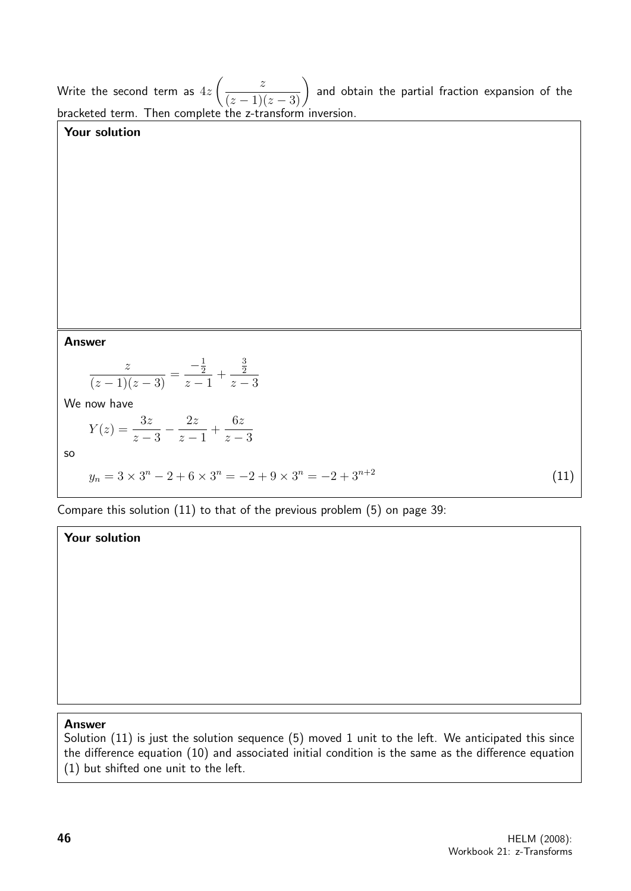Write the second term as  $4z$  $\left(\frac{z}{(z-1)(z-3)}\right)$ and obtain the partial fraction expansion of the bracketed term. Then complete the z-transform inversion.

# Answer

Your solution

$$
\frac{z}{(z-1)(z-3)} = \frac{-\frac{1}{2}}{z-1} + \frac{\frac{3}{2}}{z-3}
$$

We now have

$$
Y(z) = \frac{3z}{z-3} - \frac{2z}{z-1} + \frac{6z}{z-3}
$$
  
so  

$$
y_n = 3 \times 3^n - 2 + 6 \times 3^n = -2 + 9 \times 3^n = -2 + 3^{n+2}
$$
 (11)

Compare this solution (11) to that of the previous problem (5) on page 39:

#### Your solution

#### Answer

Solution (11) is just the solution sequence (5) moved 1 unit to the left. We anticipated this since the difference equation (10) and associated initial condition is the same as the difference equation (1) but shifted one unit to the left.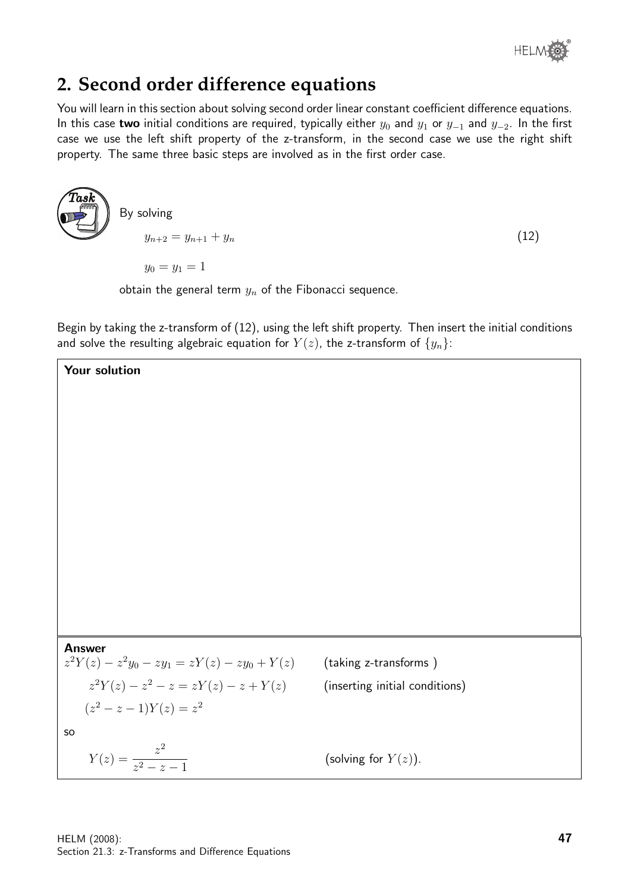

# **2. Second order difference equations**

You will learn in this section about solving second order linear constant coefficient difference equations. In this case two initial conditions are required, typically either  $y_0$  and  $y_1$  or  $y_{-1}$  and  $y_{-2}$ . In the first case we use the left shift property of the z-transform, in the second case we use the right shift property. The same three basic steps are involved as in the first order case.

$$
\begin{array}{c}\n\text{Task} \\
\hline\n\end{array}\n\right) \quad \text{By solving} \\
y_{n+2} = y_{n+1} + y_n \tag{12}
$$

 $y_0 = y_1 = 1$ 

obtain the general term  $y_n$  of the Fibonacci sequence.

Begin by taking the z-transform of (12), using the left shift property. Then insert the initial conditions and solve the resulting algebraic equation for  $Y(z)$ , the z-transform of  $\{y_n\}$ :

(taking z-transforms)

(inserting initial conditions)



Your solution

$$
z^{2}Y(z) - z^{2}y_{0} - zy_{1} = zY(z) - zy_{0} + Y(z)
$$

$$
z^{2}Y(z) - z^{2} - z = zY(z) - z + Y(z)
$$

$$
(z^{2} - z - 1)Y(z) = z^{2}
$$

so

$$
Y(z) = \frac{z^2}{z^2 - z - 1}
$$
 (solving for  $Y(z)$ ).

HELM (2008): Section 21.3: z-Transforms and Difference Equations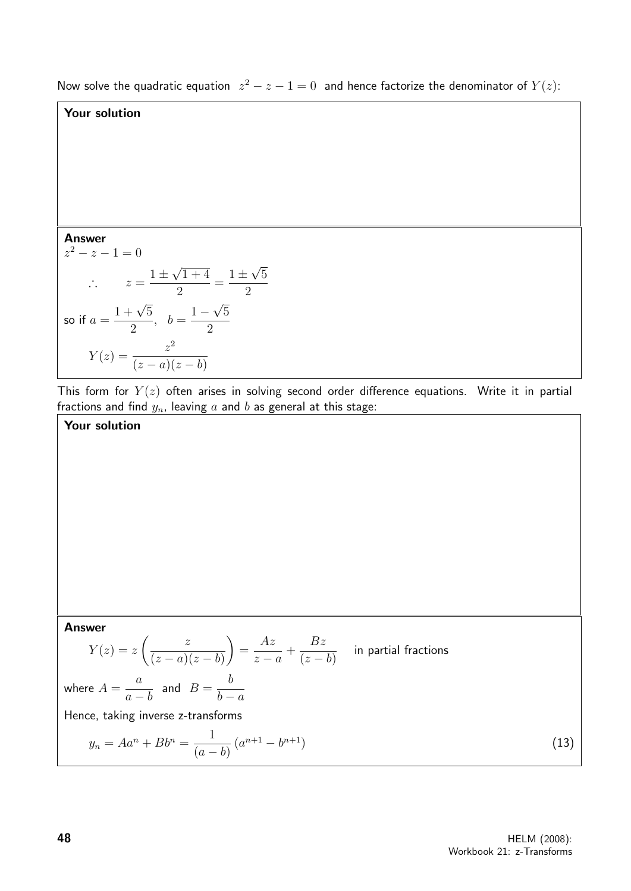Now solve the quadratic equation  $z^2 - z - 1 = 0$  and hence factorize the denominator of  $Y(z)$ :

### Your solution

Your solution

Answer  $z^2 - z - 1 = 0$  $\therefore z = \frac{1 \pm \sqrt{2}}{1}$ √  $1 + 4$ 2 =  $1 \pm$ √ 2 so if  $a =$  $1 + \sqrt{5}$ 2  $, b =$ 1 − √ 5 2  $Y(z) = \frac{z^2}{(z-z)^2}$  $(z-a)(z-b)$ 

This form for  $Y(z)$  often arises in solving second order difference equations. Write it in partial fractions and find  $y_n$ , leaving  $a$  and  $b$  as general at this stage:

5

Answer  
\n
$$
Y(z) = z \left( \frac{z}{(z-a)(z-b)} \right) = \frac{Az}{z-a} + \frac{Bz}{(z-b)}
$$
 in partial fractions  
\nwhere  $A = \frac{a}{a-b}$  and  $B = \frac{b}{b-a}$   
\nHence, taking inverse z-transforms  
\n
$$
y_n = Aa^n + Bb^n = \frac{1}{(a-b)} (a^{n+1} - b^{n+1})
$$
\n(13)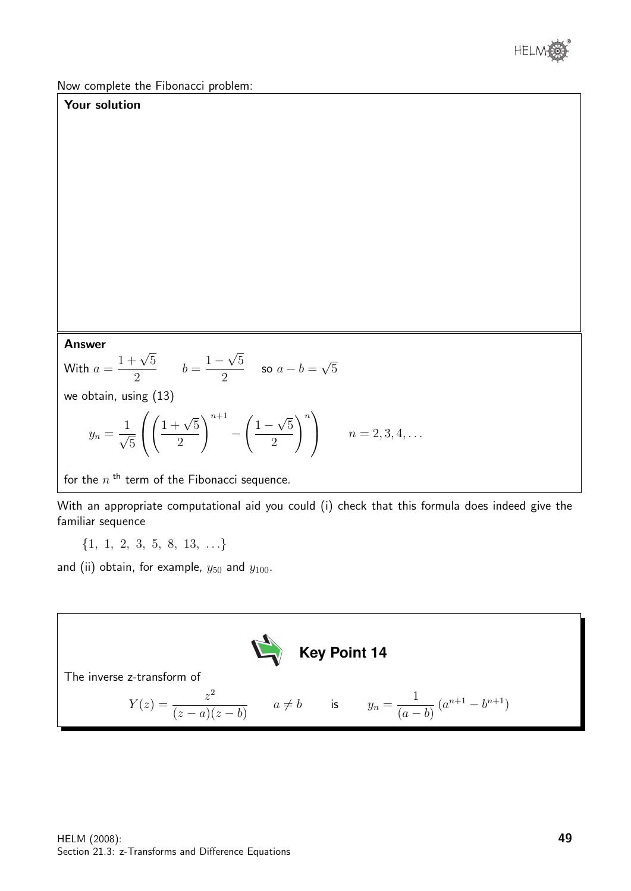

Now complete the Fibonacci problem:

### Your solution

#### Answer

**Answer**  
With 
$$
a = \frac{1 + \sqrt{5}}{2}
$$
  $b = \frac{1 - \sqrt{5}}{2}$  so  $a - b = \sqrt{5}$ 

we obtain, using (13)

$$
y_n = \frac{1}{\sqrt{5}} \left( \left( \frac{1 + \sqrt{5}}{2} \right)^{n+1} - \left( \frac{1 - \sqrt{5}}{2} \right)^n \right) \qquad n = 2, 3, 4, \dots
$$

for the  $n<sup>th</sup>$  term of the Fibonacci sequence.

With an appropriate computational aid you could (i) check that this formula does indeed give the familiar sequence

 $\{1, 1, 2, 3, 5, 8, 13, \ldots\}$ 

and (ii) obtain, for example,  $y_{50}$  and  $y_{100}$ .

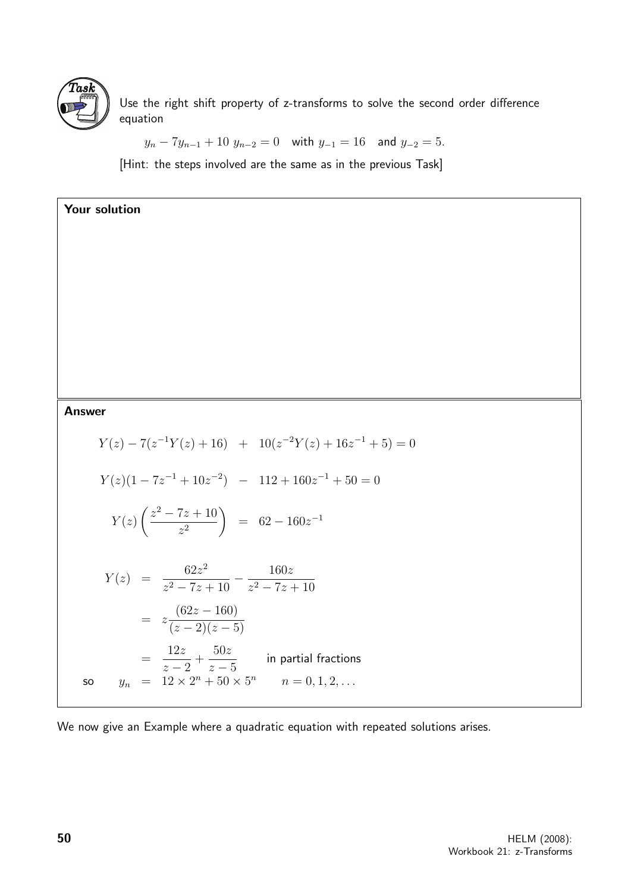

Use the right shift property of z-transforms to solve the second order difference equation

$$
y_n - 7y_{n-1} + 10 y_{n-2} = 0
$$
 with  $y_{-1} = 16$  and  $y_{-2} = 5$ .

[Hint: the steps involved are the same as in the previous Task]

| Your solution                                                                                                          |
|------------------------------------------------------------------------------------------------------------------------|
|                                                                                                                        |
|                                                                                                                        |
|                                                                                                                        |
|                                                                                                                        |
|                                                                                                                        |
|                                                                                                                        |
| <b>Answer</b>                                                                                                          |
| $Y(z) - 7(z^{-1}Y(z) + 16)$ + $10(z^{-2}Y(z) + 16z^{-1} + 5) = 0$                                                      |
| $Y(z)(1-7z^{-1}+10z^{-2}) - 112+160z^{-1}+50=0$                                                                        |
| $Y(z)\left(\frac{z^2-7z+10}{z^2}\right) = 62-160z^{-1}$                                                                |
| $Y(z) = \frac{62z^2}{z^2 - 7z + 10} - \frac{160z}{z^2 - 7z + 10}$                                                      |
| $= z \frac{(62z - 160)}{(z - 2)(z - 5)}$                                                                               |
| $=\frac{12z}{z-2}+\frac{50z}{z-5}$ in partial fractions<br>$y_n = 12 \times 2^n + 50 \times 5^n$ $n = 0, 1, 2, $<br>SO |
|                                                                                                                        |

We now give an Example where a quadratic equation with repeated solutions arises.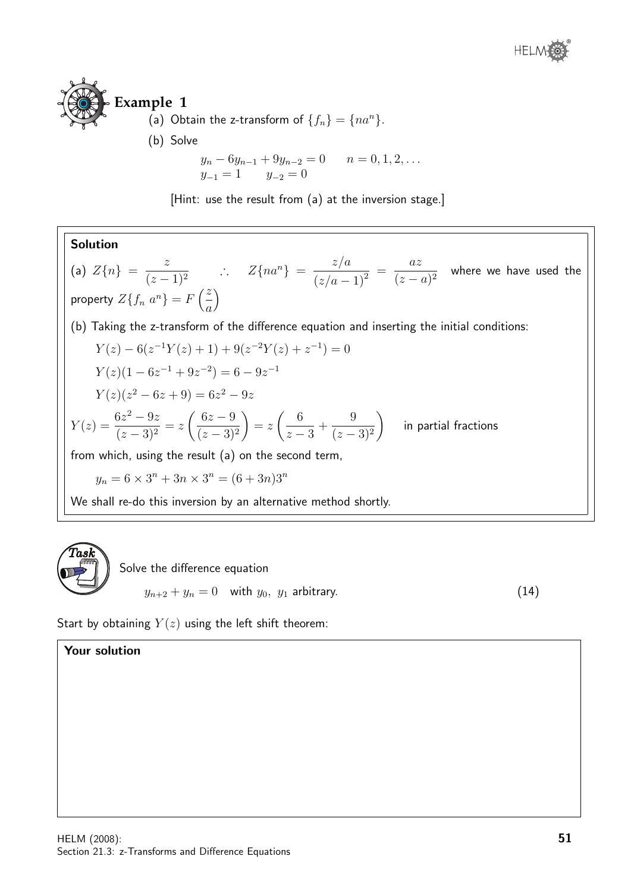# **Example 1** (a) Obtain the z-transform of  $\{f_n\} = \{na^n\}.$ (b) Solve

$$
y_n - 6y_{n-1} + 9y_{n-2} = 0 \qquad n = 0, 1, 2, ...
$$
  

$$
y_{-1} = 1 \qquad y_{-2} = 0
$$

[Hint: use the result from (a) at the inversion stage.]

**Solution**  
\n(a) 
$$
Z\{n\} = \frac{z}{(z-1)^2}
$$
  $\therefore$   $Z\{na^n\} = \frac{z/a}{(z/a-1)^2} = \frac{az}{(z-a)^2}$  where we have used the property  $Z\{f_n a^n\} = F\left(\frac{z}{a}\right)$   
\n(b) Taking the z-transform of the difference equation and inserting the initial conditions:  
\n $Y(z) - 6(z^{-1}Y(z) + 1) + 9(z^{-2}Y(z) + z^{-1}) = 0$   
\n $Y(z)(1 - 6z^{-1} + 9z^{-2}) = 6 - 9z^{-1}$   
\n $Y(z)(z^2 - 6z + 9) = 6z^2 - 9z$   
\n $Y(z) = \frac{6z^2 - 9z}{(z-3)^2} = z\left(\frac{6z - 9}{(z-3)^2}\right) = z\left(\frac{6}{z-3} + \frac{9}{(z-3)^2}\right)$  in partial fractions  
\nfrom which, using the result (a) on the second term,  
\n $y_n = 6 \times 3^n + 3n \times 3^n = (6 + 3n)3^n$   
\nWe shall re-do this inversion by an alternative method shortly.



Start by obtaining  $Y(z)$  using the left shift theorem:

### Your solution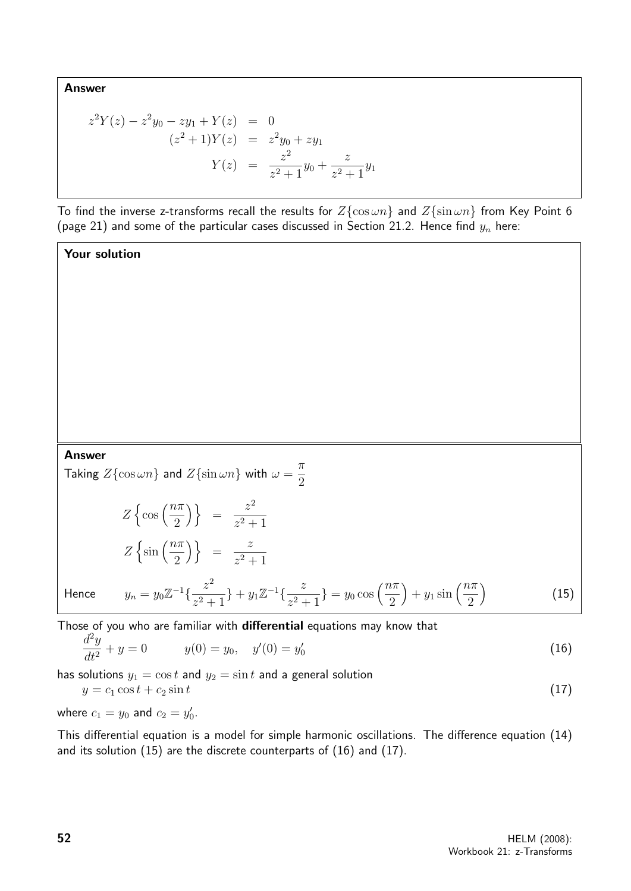Answer

$$
z^{2}Y(z) - z^{2}y_{0} - zy_{1} + Y(z) = 0
$$
  
\n
$$
(z^{2} + 1)Y(z) = z^{2}y_{0} + zy_{1}
$$
  
\n
$$
Y(z) = \frac{z^{2}}{z^{2} + 1}y_{0} + \frac{z}{z^{2} + 1}y_{1}
$$

To find the inverse z-transforms recall the results for  $Z\{\cos \omega n\}$  and  $Z\{\sin \omega n\}$  from Key Point 6 (page 21) and some of the particular cases discussed in Section 21.2. Hence find  $y_n$  here:

Your solution

#### Answer

Taking  $Z\{\cos \omega n\}$  and  $Z\{\sin \omega n\}$  with  $\omega = \frac{\pi}{2}$ 2

$$
Z\left\{\cos\left(\frac{n\pi}{2}\right)\right\} = \frac{z^2}{z^2 + 1}
$$
  
\n
$$
Z\left\{\sin\left(\frac{n\pi}{2}\right)\right\} = \frac{z}{z^2 + 1}
$$
  
\nHence  $y_n = y_0 \mathbb{Z}^{-1}\left\{\frac{z^2}{z^2 + 1}\right\} + y_1 \mathbb{Z}^{-1}\left\{\frac{z}{z^2 + 1}\right\} = y_0 \cos\left(\frac{n\pi}{2}\right) + y_1 \sin\left(\frac{n\pi}{2}\right)$  (15)

Those of you who are familiar with **differential** equations may know that  $d^2u$ 

$$
\frac{d^2y}{dt^2} + y = 0 \t y(0) = y_0, \t y'(0) = y'_0 \t (16)
$$

has solutions  $y_1 = \cos t$  and  $y_2 = \sin t$  and a general solution

$$
y = c_1 \cos t + c_2 \sin t \tag{17}
$$

where  $c_1 = y_0$  and  $c_2 = y'_0$ .

This differential equation is a model for simple harmonic oscillations. The difference equation (14) and its solution (15) are the discrete counterparts of (16) and (17).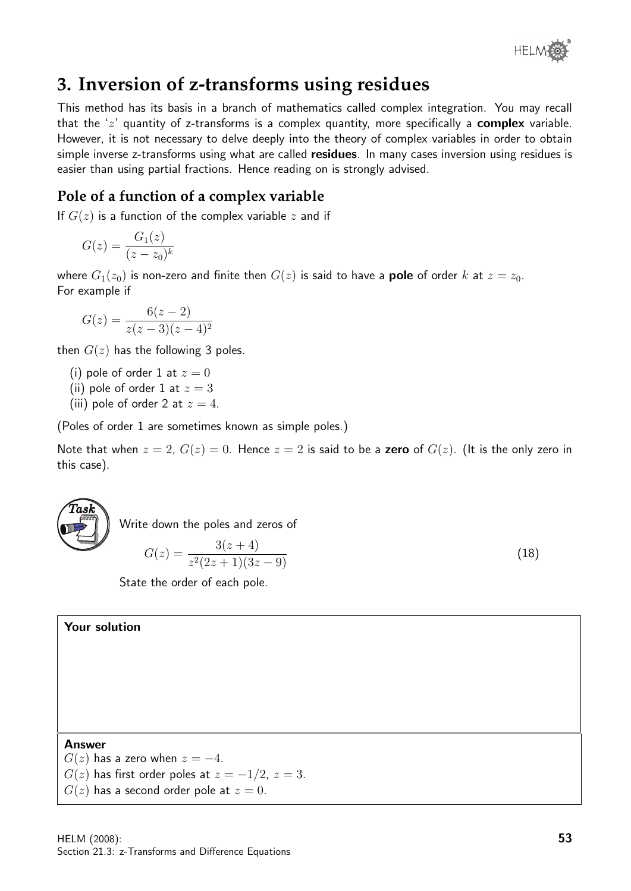

# **3. Inversion of z-transforms using residues**

This method has its basis in a branch of mathematics called complex integration. You may recall that the  $z'$  quantity of z-transforms is a complex quantity, more specifically a **complex** variable. However, it is not necessary to delve deeply into the theory of complex variables in order to obtain simple inverse z-transforms using what are called **residues**. In many cases inversion using residues is easier than using partial fractions. Hence reading on is strongly advised.

### **Pole of a function of a complex variable**

If  $G(z)$  is a function of the complex variable z and if

$$
G(z) = \frac{G_1(z)}{(z - z_0)^k}
$$

where  $G_1(z_0)$  is non-zero and finite then  $G(z)$  is said to have a **pole** of order k at  $z = z_0$ . For example if

$$
G(z) = \frac{6(z-2)}{z(z-3)(z-4)^2}
$$

then  $G(z)$  has the following 3 poles.

- (i) pole of order 1 at  $z = 0$
- (ii) pole of order 1 at  $z = 3$
- (iii) pole of order 2 at  $z = 4$ .

(Poles of order 1 are sometimes known as simple poles.)

Note that when  $z = 2$ ,  $G(z) = 0$ . Hence  $z = 2$  is said to be a zero of  $G(z)$ . (It is the only zero in this case).



Write down the poles and zeros of

$$
G(z) = \frac{3(z+4)}{z^2(2z+1)(3z-9)}
$$
\n(18)

State the order of each pole.

#### Your solution

#### Answer

 $G(z)$  has a zero when  $z = -4$ .  $G(z)$  has first order poles at  $z = -1/2$ ,  $z = 3$ .  $G(z)$  has a second order pole at  $z = 0$ .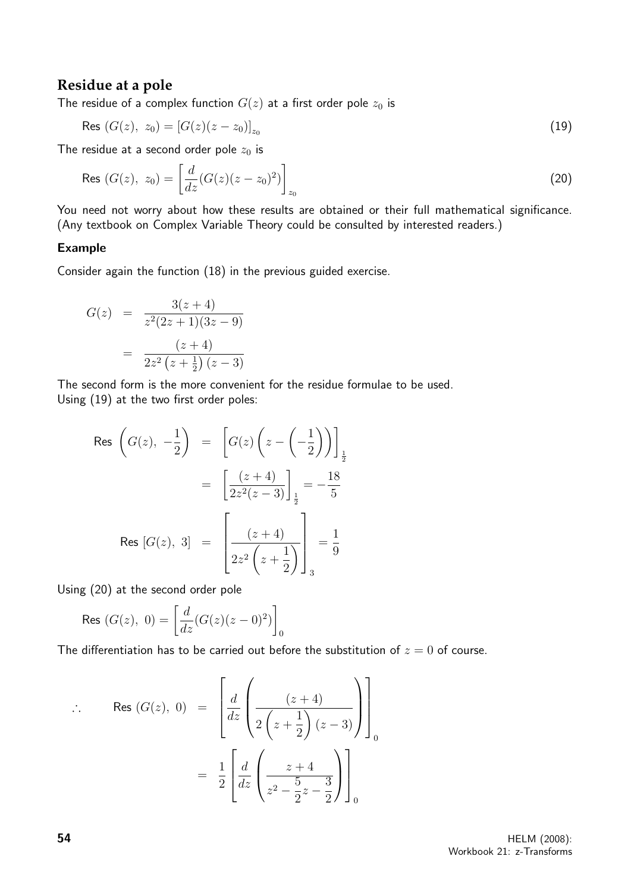### **Residue at a pole**

The residue of a complex function  $G(z)$  at a first order pole  $z_0$  is

$$
\text{Res } (G(z), z_0) = [G(z)(z - z_0)]_{z_0} \tag{19}
$$

The residue at a second order pole  $z_0$  is

$$
\text{Res } (G(z), z_0) = \left[ \frac{d}{dz} (G(z)(z - z_0)^2) \right]_{z_0} \tag{20}
$$

You need not worry about how these results are obtained or their full mathematical significance. (Any textbook on Complex Variable Theory could be consulted by interested readers.)

#### Example

Consider again the function (18) in the previous guided exercise.

$$
G(z) = \frac{3(z+4)}{z^2(2z+1)(3z-9)}
$$

$$
= \frac{(z+4)}{2z^2(z+\frac{1}{2})(z-3)}
$$

The second form is the more convenient for the residue formulae to be used. Using (19) at the two first order poles:

$$
\begin{array}{rcl} \text{Res} & \left( G(z), \ -\frac{1}{2} \right) & = & \left[ G(z) \left( z - \left( -\frac{1}{2} \right) \right) \right]_{\frac{1}{2}} \\ & = & \left[ \frac{(z+4)}{2z^2(z-3)} \right]_{\frac{1}{2}} = -\frac{18}{5} \\ \text{Res} & [G(z), \ 3] & = & \left[ \frac{(z+4)}{2z^2 \left( z + \frac{1}{2} \right)} \right]_{3} = \frac{1}{9} \end{array}
$$

Using (20) at the second order pole

$$
\text{Res } (G(z), 0) = \left[ \frac{d}{dz} (G(z)(z - 0)^2) \right]_0
$$

The differentiation has to be carried out before the substitution of  $z = 0$  of course.

$$
\therefore \text{ Res } (G(z), 0) = \left[ \frac{d}{dz} \left( \frac{(z+4)}{2\left(z+\frac{1}{2}\right)(z-3)} \right) \right]_0
$$

$$
= \frac{1}{2} \left[ \frac{d}{dz} \left( \frac{z+4}{z^2 - \frac{5}{2}z - \frac{3}{2}} \right) \right]_0
$$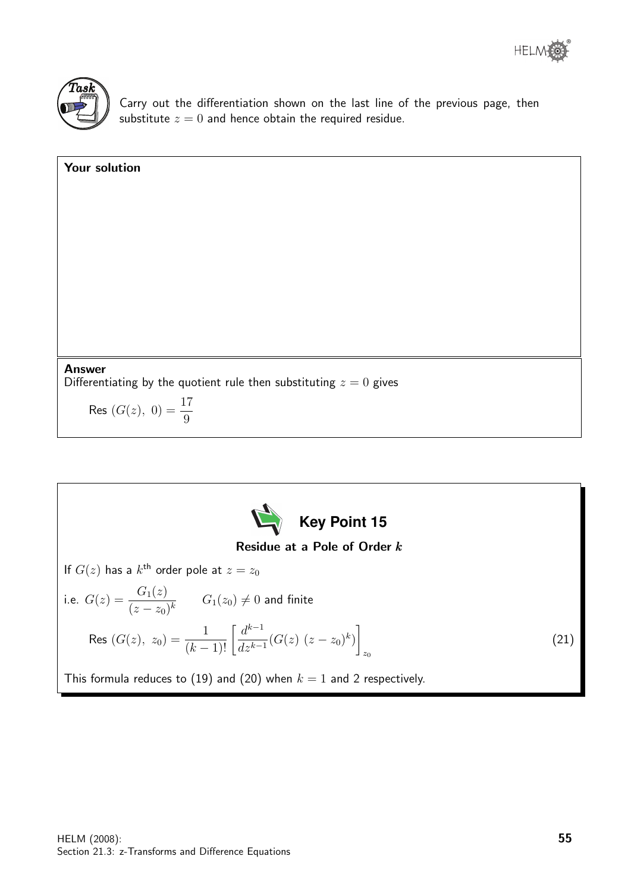

Carry out the differentiation shown on the last line of the previous page, then substitute  $z = 0$  and hence obtain the required residue.

Your solution Answer Differentiating by the quotient rule then substituting  $z = 0$  gives Res  $(G(z), 0) = \frac{17}{8}$ 9

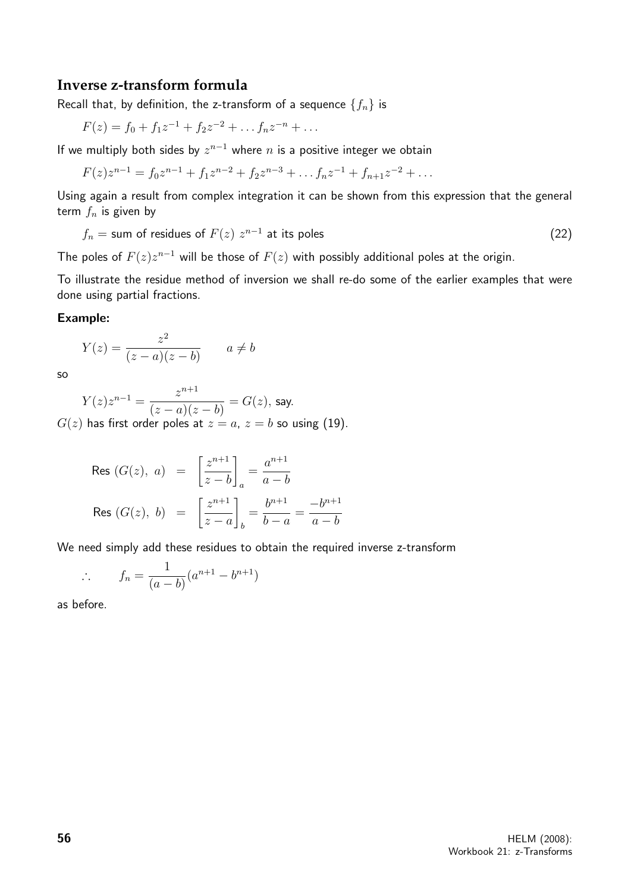#### **Inverse z-transform formula**

Recall that, by definition, the z-transform of a sequence  $\{f_n\}$  is

$$
F(z) = f_0 + f_1 z^{-1} + f_2 z^{-2} + \dots f_n z^{-n} + \dots
$$

If we multiply both sides by  $z^{n-1}$  where n is a positive integer we obtain

$$
F(z)z^{n-1} = f_0 z^{n-1} + f_1 z^{n-2} + f_2 z^{n-3} + \dots + f_n z^{-1} + f_{n+1} z^{-2} + \dots
$$

Using again a result from complex integration it can be shown from this expression that the general term  $f_n$  is given by

$$
f_n = \text{sum of residues of } F(z) \ z^{n-1} \text{ at its poles}
$$
 (22)

The poles of  $F(z)z^{n-1}$  will be those of  $F(z)$  with possibly additional poles at the origin.

To illustrate the residue method of inversion we shall re-do some of the earlier examples that were done using partial fractions.

#### Example:

$$
Y(z) = \frac{z^2}{(z-a)(z-b)} \qquad a \neq b
$$

so

$$
Y(z)z^{n-1} = \frac{z^{n+1}}{(z-a)(z-b)} = G(z), \text{ say.}
$$

 $G(z)$  has first order poles at  $z = a$ ,  $z = b$  so using (19).

$$
\text{Res}(G(z), a) = \left[\frac{z^{n+1}}{z-b}\right]_a = \frac{a^{n+1}}{a-b}
$$
\n
$$
\text{Res}(G(z), b) = \left[\frac{z^{n+1}}{z-a}\right]_b = \frac{b^{n+1}}{b-a} = \frac{-b^{n+1}}{a-b}
$$

We need simply add these residues to obtain the required inverse z-transform

$$
\therefore \qquad f_n = \frac{1}{(a-b)}(a^{n+1} - b^{n+1})
$$

as before.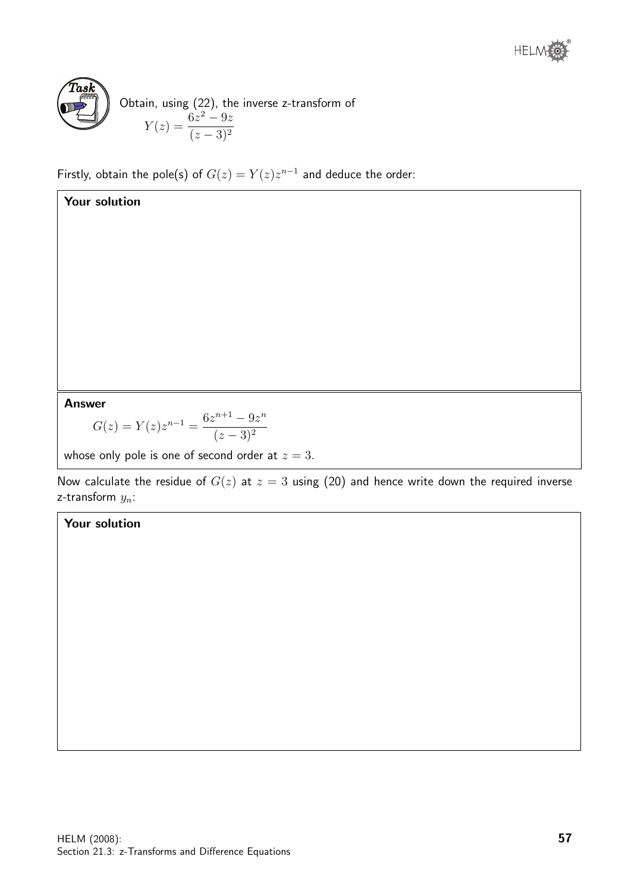

Your solution

Obtain, using (22), the inverse z-transform of  $Y(z) = \frac{6z^2 - 9z}{(z - 2)z^2}$  $(z-3)^2$ 

Firstly, obtain the pole(s) of  $G(z) = Y(z)z^{n-1}$  and deduce the order:

Answer

$$
G(z) = Y(z)z^{n-1} = \frac{6z^{n+1} - 9z^n}{(z-3)^2}
$$

whose only pole is one of second order at  $z = 3$ .

Now calculate the residue of  $G(z)$  at  $z = 3$  using (20) and hence write down the required inverse z-transform  $y_n$ :

### Your solution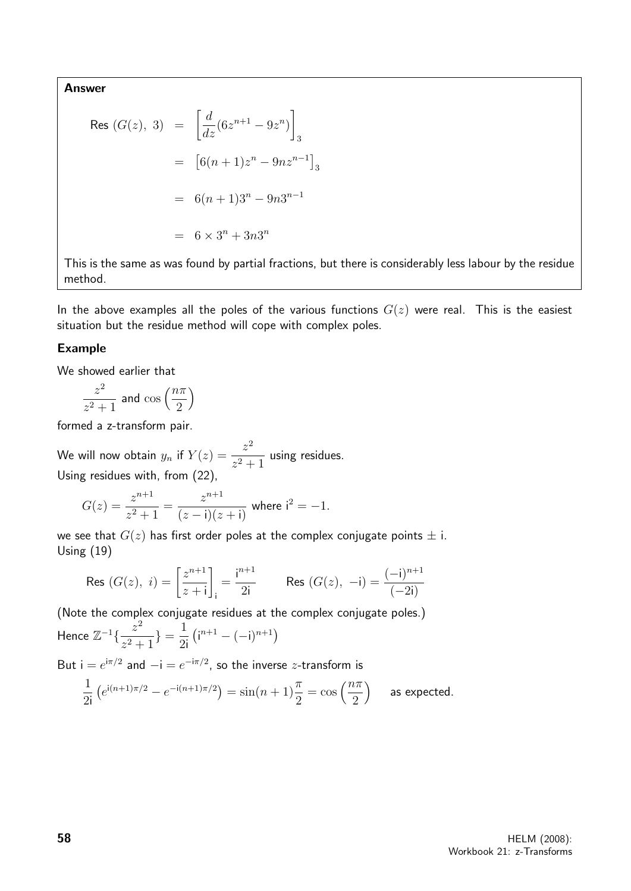Answer

$$
\begin{aligned}\n\text{Res } (G(z), \ 3) &= \left[ \frac{d}{dz} (6z^{n+1} - 9z^n) \right]_3 \\
&= \left[ 6(n+1)z^n - 9nz^{n-1} \right]_3 \\
&= 6(n+1)3^n - 9n3^{n-1} \\
&= 6 \times 3^n + 3n3^n\n\end{aligned}
$$

This is the same as was found by partial fractions, but there is considerably less labour by the residue method.

In the above examples all the poles of the various functions  $G(z)$  were real. This is the easiest situation but the residue method will cope with complex poles.

#### Example

We showed earlier that

$$
\frac{z^2}{z^2+1}
$$
 and  $\cos\left(\frac{n\pi}{2}\right)$ 

formed a z-transform pair.

We will now obtain  $y_n$  if  $Y(z) = \frac{z^2}{z^2 + z^2}$  $\frac{z^2}{z^2+1}$  using residues. Using residues with, from (22),

$$
G(z) = \frac{z^{n+1}}{z^2 + 1} = \frac{z^{n+1}}{(z - \mathbf{i})(z + \mathbf{i})} \text{ where } \mathbf{i}^2 = -1.
$$

we see that  $G(z)$  has first order poles at the complex conjugate points  $\pm$  i. Using (19)

$$
\text{Res } (G(z), i) = \left[\frac{z^{n+1}}{z+i}\right]_i = \frac{i^{n+1}}{2i} \qquad \text{Res } (G(z), -i) = \frac{(-i)^{n+1}}{(-2i)}
$$

(Note the complex conjugate residues at the complex conjugate poles.)

Hence 
$$
\mathbb{Z}^{-1}\left\{\frac{z^2}{z^2+1}\right\} = \frac{1}{2i} \left(i^{n+1} - (-i)^{n+1}\right)
$$

But  $i = e^{i\pi/2}$  and  $-i = e^{-i\pi/2}$ , so the inverse *z*-transform is

$$
\frac{1}{2i} \left( e^{i(n+1)\pi/2} - e^{-i(n+1)\pi/2} \right) = \sin(n+1)\frac{\pi}{2} = \cos\left(\frac{n\pi}{2}\right) \quad \text{as expected.}
$$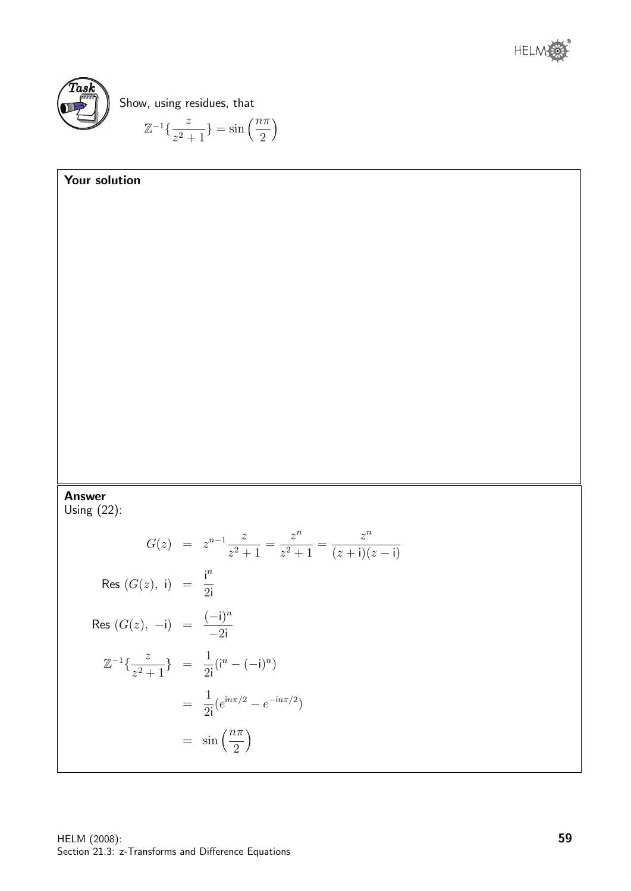



Show, using residues, that

$$
\mathbb{Z}^{-1}\left\{\frac{z}{z^2+1}\right\} = \sin\left(\frac{n\pi}{2}\right)
$$

# Your solution Answer Using (22):  $G(z) = z^{n-1} \frac{z}{2}$  $\frac{z^2}{z^2+1} =$  $z^n$  $\frac{z^2}{z^2+1} =$  $z^n$  $(z + i)(z - i)$ Res  $(G(z), i) = \frac{i^n}{2i}$ 2i Res  $(G(z), -i) = \frac{(-i)^n}{2i}$  $-2i$  $\mathbb{Z}^{-1}\left\{\frac{z}{2}\right\}$  $z^2+1$ } =  $\frac{1}{2}$ 2i  $(i^{n} - (-i)^{n})$ = 1 2i  $(e^{in\pi/2} - e^{-in\pi/2})$  $=$   $\sin\left(\frac{n\pi}{2}\right)$ 2  $\setminus$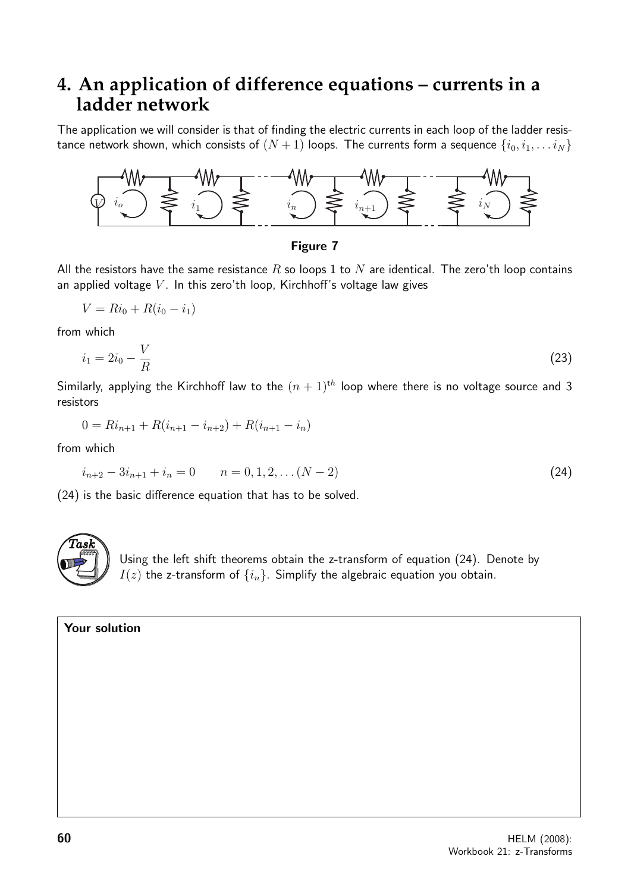## **4. An application of difference equations – currents in a ladder network**

The application we will consider is that of finding the electric currents in each loop of the ladder resistance network shown, which consists of  $(N + 1)$  loops. The currents form a sequence  $\{i_0, i_1, \ldots i_N\}$ 



#### Figure 7

All the resistors have the same resistance R so loops 1 to N are identical. The zero'th loop contains an applied voltage  $V$ . In this zero'th loop, Kirchhoff's voltage law gives

$$
V = Ri_0 + R(i_0 - i_1)
$$

from which

$$
i_1 = 2i_0 - \frac{V}{R} \tag{23}
$$

Similarly, applying the Kirchhoff law to the  $(n + 1)^{th}$  loop where there is no voltage source and 3 resistors

$$
0 = Ri_{n+1} + R(i_{n+1} - i_{n+2}) + R(i_{n+1} - i_n)
$$

from which

$$
i_{n+2} - 3i_{n+1} + i_n = 0 \qquad n = 0, 1, 2, \dots (N-2)
$$
\n(24)

(24) is the basic difference equation that has to be solved.



Using the left shift theorems obtain the z-transform of equation (24). Denote by  $I(z)$  the z-transform of  $\{i_n\}$ . Simplify the algebraic equation you obtain.

#### Your solution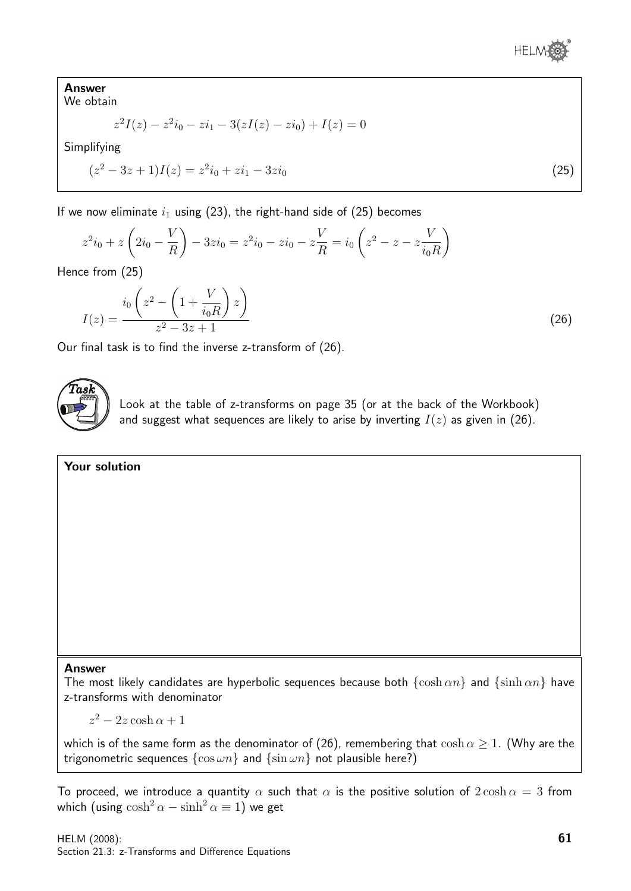Answer We obtain

$$
z^{2}I(z) - z^{2}i_{0} - zi_{1} - 3(zI(z) - zi_{0}) + I(z) = 0
$$

Simplifying

$$
(z2 - 3z + 1)I(z) = z2i0 + zi1 - 3zi0
$$
\n(25)

If we now eliminate  $i_1$  using (23), the right-hand side of (25) becomes

$$
z^{2}i_{0} + z\left(2i_{0} - \frac{V}{R}\right) - 3z i_{0} = z^{2}i_{0} - zi_{0} - z\frac{V}{R} = i_{0}\left(z^{2} - z - z\frac{V}{i_{0}R}\right)
$$

Hence from (25)

$$
I(z) = \frac{i_0 \left(z^2 - \left(1 + \frac{V}{i_0 R}\right) z\right)}{z^2 - 3z + 1}
$$
 (26)

Our final task is to find the inverse z-transform of (26).



Look at the table of z-transforms on page 35 (or at the back of the Workbook) and suggest what sequences are likely to arise by inverting  $I(z)$  as given in (26).

#### Your solution

#### Answer

The most likely candidates are hyperbolic sequences because both  $\{\cosh \alpha n\}$  and  $\{\sinh \alpha n\}$  have z-transforms with denominator

 $z^2 - 2z \cosh \alpha + 1$ 

which is of the same form as the denominator of (26), remembering that  $\cosh \alpha \geq 1$ . (Why are the trigonometric sequences  $\{\cos \omega n\}$  and  $\{\sin \omega n\}$  not plausible here?)

To proceed, we introduce a quantity  $\alpha$  such that  $\alpha$  is the positive solution of  $2\cosh \alpha = 3$  from which (using  $cosh^2 \alpha - sinh^2 \alpha \equiv 1$ ) we get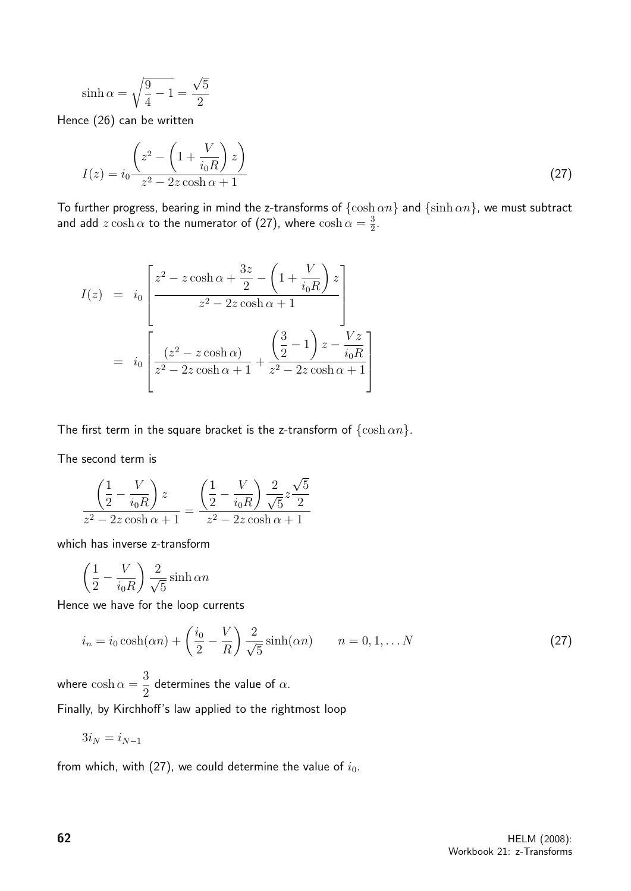$$
\sinh \alpha = \sqrt{\frac{9}{4} - 1} = \frac{\sqrt{5}}{2}
$$

Hence (26) can be written

$$
I(z) = i_0 \frac{\left(z^2 - \left(1 + \frac{V}{i_0 R}\right) z\right)}{z^2 - 2z \cosh \alpha + 1}
$$
\n(27)

To further progress, bearing in mind the z-transforms of  $\{\cosh \alpha n\}$  and  $\{\sinh \alpha n\}$ , we must subtract and add  $z \cosh \alpha$  to the numerator of (27), where  $\cosh \alpha = \frac{3}{2}$  $\frac{3}{2}$ .

$$
I(z) = i_0 \left[ \frac{z^2 - z \cosh \alpha + \frac{3z}{2} - \left(1 + \frac{V}{i_0 R}\right)z}{z^2 - 2z \cosh \alpha + 1} \right]
$$

$$
= i_0 \left[ \frac{(z^2 - z \cosh \alpha)}{z^2 - 2z \cosh \alpha + 1} + \frac{\left(\frac{3}{2} - 1\right)z - \frac{Vz}{i_0 R}}{z^2 - 2z \cosh \alpha + 1} \right]
$$

The first term in the square bracket is the z-transform of  $\{\cosh \alpha n\}$ .

The second term is

$$
\frac{\left(\frac{1}{2} - \frac{V}{i_0 R}\right) z}{z^2 - 2z \cosh \alpha + 1} = \frac{\left(\frac{1}{2} - \frac{V}{i_0 R}\right) \frac{2}{\sqrt{5}} z \frac{\sqrt{5}}{2}}{z^2 - 2z \cosh \alpha + 1}
$$

which has inverse z-transform

$$
\left(\frac{1}{2} - \frac{V}{i_0 R}\right) \frac{2}{\sqrt{5}} \sinh \alpha n
$$

Hence we have for the loop currents

$$
i_n = i_0 \cosh(\alpha n) + \left(\frac{i_0}{2} - \frac{V}{R}\right) \frac{2}{\sqrt{5}} \sinh(\alpha n) \qquad n = 0, 1, \dots N
$$
 (27)

where  $\cosh \alpha =$ 3 2 determines the value of  $\alpha$ .

Finally, by Kirchhoff's law applied to the rightmost loop

$$
3i_N=i_{N-1}
$$

from which, with (27), we could determine the value of  $i_0$ .